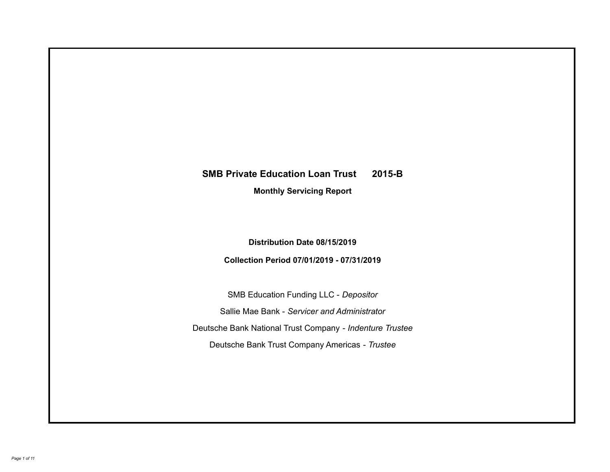# **SMB Private Education Loan Trust 2015-B Monthly Servicing Report**

## **Distribution Date 08/15/2019**

## **Collection Period 07/01/2019 - 07/31/2019**

SMB Education Funding LLC - *Depositor* Sallie Mae Bank - *Servicer and Administrator* Deutsche Bank National Trust Company - *Indenture Trustee* Deutsche Bank Trust Company Americas - *Trustee*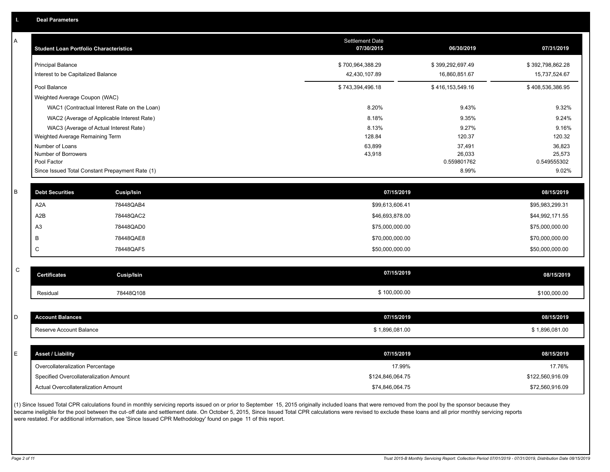A

| A           | <b>Student Loan Portfolio Characteristics</b> |                                                 | <b>Settlement Date</b><br>07/30/2015 | 06/30/2019            | 07/31/2019            |
|-------------|-----------------------------------------------|-------------------------------------------------|--------------------------------------|-----------------------|-----------------------|
|             | <b>Principal Balance</b>                      |                                                 | \$700,964,388.29                     | \$399,292,697.49      | \$392,798,862.28      |
|             | Interest to be Capitalized Balance            |                                                 | 42,430,107.89                        | 16,860,851.67         | 15,737,524.67         |
|             | Pool Balance                                  |                                                 | \$743,394,496.18                     | \$416,153,549.16      | \$408,536,386.95      |
|             | Weighted Average Coupon (WAC)                 |                                                 |                                      |                       |                       |
|             |                                               | WAC1 (Contractual Interest Rate on the Loan)    | 8.20%                                | 9.43%                 | 9.32%                 |
|             |                                               | WAC2 (Average of Applicable Interest Rate)      | 8.18%                                | 9.35%                 | 9.24%                 |
|             |                                               | WAC3 (Average of Actual Interest Rate)          | 8.13%                                | 9.27%                 | 9.16%                 |
|             | Weighted Average Remaining Term               |                                                 | 128.84                               | 120.37                | 120.32                |
|             | Number of Loans                               |                                                 | 63,899                               | 37,491                | 36,823                |
|             | Number of Borrowers<br>Pool Factor            |                                                 | 43,918                               | 26,033<br>0.559801762 | 25,573<br>0.549555302 |
|             |                                               | Since Issued Total Constant Prepayment Rate (1) |                                      | 8.99%                 | 9.02%                 |
|             |                                               |                                                 |                                      |                       |                       |
| B           | <b>Debt Securities</b>                        | Cusip/Isin                                      | 07/15/2019                           |                       | 08/15/2019            |
|             | A <sub>2</sub> A                              | 78448QAB4                                       | \$99,613,606.41                      |                       | \$95,983,299.31       |
|             | A <sub>2</sub> B                              | 78448QAC2                                       | \$46,693,878.00                      |                       | \$44,992,171.55       |
|             | A <sub>3</sub>                                | 78448QAD0                                       | \$75,000,000.00                      |                       | \$75,000,000.00       |
|             | B                                             | 78448QAE8                                       | \$70,000,000.00                      |                       | \$70,000,000.00       |
|             | $\mathsf C$                                   | 78448QAF5                                       | \$50,000,000.00                      |                       | \$50,000,000.00       |
|             |                                               |                                                 |                                      |                       |                       |
| $\mathsf C$ | <b>Certificates</b>                           | <b>Cusip/Isin</b>                               | 07/15/2019                           |                       | 08/15/2019            |
|             | Residual                                      | 78448Q108                                       | \$100,000.00                         |                       | \$100,000.00          |
|             |                                               |                                                 |                                      |                       |                       |
| D           | <b>Account Balances</b>                       |                                                 | 07/15/2019                           |                       | 08/15/2019            |
|             | Reserve Account Balance                       |                                                 | \$1,896,081.00                       |                       | \$1,896,081.00        |
|             |                                               |                                                 |                                      |                       |                       |
| E.          | <b>Asset / Liability</b>                      |                                                 | 07/15/2019                           |                       | 08/15/2019            |
|             | Overcollateralization Percentage              |                                                 | 17.99%                               |                       | 17.76%                |
|             | Specified Overcollateralization Amount        |                                                 | \$124,846,064.75                     |                       | \$122,560,916.09      |
|             | Actual Overcollateralization Amount           |                                                 | \$74,846,064.75                      |                       | \$72,560,916.09       |

(1) Since Issued Total CPR calculations found in monthly servicing reports issued on or prior to September 15, 2015 originally included loans that were removed from the pool by the sponsor because they .<br>became ineligible for the pool between the cut-off date and settlement date. On October 5, 2015, Since Issued Total CPR calculations were revised to exclude these loans and all prior monthly servicing reports were restated. For additional information, see 'Since Issued CPR Methodology' found on page 11 of this report.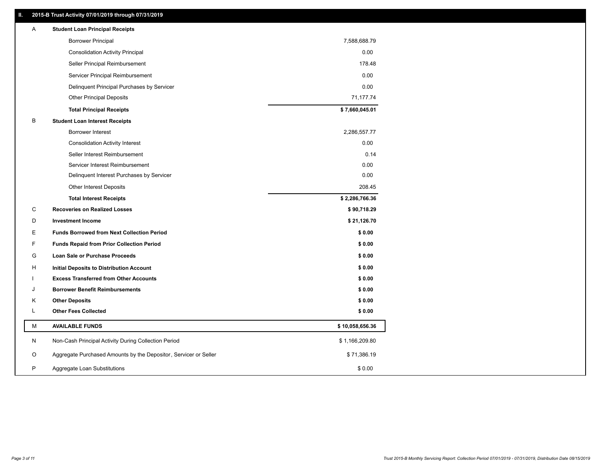### **II. 2015-B Trust Activity 07/01/2019 through 07/31/2019**

| <b>Borrower Principal</b><br>7,588,688.79<br><b>Consolidation Activity Principal</b><br>0.00<br>Seller Principal Reimbursement<br>178.48<br>0.00<br>Servicer Principal Reimbursement<br>0.00<br>Delinquent Principal Purchases by Servicer<br>71,177.74<br><b>Other Principal Deposits</b><br>\$7,660,045.01<br><b>Total Principal Receipts</b><br>В<br><b>Student Loan Interest Receipts</b><br><b>Borrower Interest</b><br>2,286,557.77<br>0.00<br><b>Consolidation Activity Interest</b><br>Seller Interest Reimbursement<br>0.14<br>0.00<br>Servicer Interest Reimbursement<br>Delinquent Interest Purchases by Servicer<br>0.00<br><b>Other Interest Deposits</b><br>208.45<br>\$2,286,766.36<br><b>Total Interest Receipts</b><br>C<br><b>Recoveries on Realized Losses</b><br>\$90,718.29<br>\$21,126.70<br>D<br><b>Investment Income</b><br>Е<br><b>Funds Borrowed from Next Collection Period</b><br>\$0.00<br>F<br>\$0.00<br><b>Funds Repaid from Prior Collection Period</b><br>G<br>\$0.00<br>Loan Sale or Purchase Proceeds<br>\$0.00<br>н<br>Initial Deposits to Distribution Account<br>\$0.00<br><b>Excess Transferred from Other Accounts</b><br>\$0.00<br>J<br><b>Borrower Benefit Reimbursements</b><br>Κ<br><b>Other Deposits</b><br>\$0.00<br>L<br><b>Other Fees Collected</b><br>\$0.00<br>М<br><b>AVAILABLE FUNDS</b><br>\$10,058,656.36<br>N<br>Non-Cash Principal Activity During Collection Period<br>\$1,166,209.80<br>Aggregate Purchased Amounts by the Depositor, Servicer or Seller<br>\$71,386.19<br>O<br>P<br>\$0.00<br>Aggregate Loan Substitutions | A | <b>Student Loan Principal Receipts</b> |  |
|---------------------------------------------------------------------------------------------------------------------------------------------------------------------------------------------------------------------------------------------------------------------------------------------------------------------------------------------------------------------------------------------------------------------------------------------------------------------------------------------------------------------------------------------------------------------------------------------------------------------------------------------------------------------------------------------------------------------------------------------------------------------------------------------------------------------------------------------------------------------------------------------------------------------------------------------------------------------------------------------------------------------------------------------------------------------------------------------------------------------------------------------------------------------------------------------------------------------------------------------------------------------------------------------------------------------------------------------------------------------------------------------------------------------------------------------------------------------------------------------------------------------------------------------------------------------------------------|---|----------------------------------------|--|
|                                                                                                                                                                                                                                                                                                                                                                                                                                                                                                                                                                                                                                                                                                                                                                                                                                                                                                                                                                                                                                                                                                                                                                                                                                                                                                                                                                                                                                                                                                                                                                                       |   |                                        |  |
|                                                                                                                                                                                                                                                                                                                                                                                                                                                                                                                                                                                                                                                                                                                                                                                                                                                                                                                                                                                                                                                                                                                                                                                                                                                                                                                                                                                                                                                                                                                                                                                       |   |                                        |  |
|                                                                                                                                                                                                                                                                                                                                                                                                                                                                                                                                                                                                                                                                                                                                                                                                                                                                                                                                                                                                                                                                                                                                                                                                                                                                                                                                                                                                                                                                                                                                                                                       |   |                                        |  |
|                                                                                                                                                                                                                                                                                                                                                                                                                                                                                                                                                                                                                                                                                                                                                                                                                                                                                                                                                                                                                                                                                                                                                                                                                                                                                                                                                                                                                                                                                                                                                                                       |   |                                        |  |
|                                                                                                                                                                                                                                                                                                                                                                                                                                                                                                                                                                                                                                                                                                                                                                                                                                                                                                                                                                                                                                                                                                                                                                                                                                                                                                                                                                                                                                                                                                                                                                                       |   |                                        |  |
|                                                                                                                                                                                                                                                                                                                                                                                                                                                                                                                                                                                                                                                                                                                                                                                                                                                                                                                                                                                                                                                                                                                                                                                                                                                                                                                                                                                                                                                                                                                                                                                       |   |                                        |  |
|                                                                                                                                                                                                                                                                                                                                                                                                                                                                                                                                                                                                                                                                                                                                                                                                                                                                                                                                                                                                                                                                                                                                                                                                                                                                                                                                                                                                                                                                                                                                                                                       |   |                                        |  |
|                                                                                                                                                                                                                                                                                                                                                                                                                                                                                                                                                                                                                                                                                                                                                                                                                                                                                                                                                                                                                                                                                                                                                                                                                                                                                                                                                                                                                                                                                                                                                                                       |   |                                        |  |
|                                                                                                                                                                                                                                                                                                                                                                                                                                                                                                                                                                                                                                                                                                                                                                                                                                                                                                                                                                                                                                                                                                                                                                                                                                                                                                                                                                                                                                                                                                                                                                                       |   |                                        |  |
|                                                                                                                                                                                                                                                                                                                                                                                                                                                                                                                                                                                                                                                                                                                                                                                                                                                                                                                                                                                                                                                                                                                                                                                                                                                                                                                                                                                                                                                                                                                                                                                       |   |                                        |  |
|                                                                                                                                                                                                                                                                                                                                                                                                                                                                                                                                                                                                                                                                                                                                                                                                                                                                                                                                                                                                                                                                                                                                                                                                                                                                                                                                                                                                                                                                                                                                                                                       |   |                                        |  |
|                                                                                                                                                                                                                                                                                                                                                                                                                                                                                                                                                                                                                                                                                                                                                                                                                                                                                                                                                                                                                                                                                                                                                                                                                                                                                                                                                                                                                                                                                                                                                                                       |   |                                        |  |
|                                                                                                                                                                                                                                                                                                                                                                                                                                                                                                                                                                                                                                                                                                                                                                                                                                                                                                                                                                                                                                                                                                                                                                                                                                                                                                                                                                                                                                                                                                                                                                                       |   |                                        |  |
|                                                                                                                                                                                                                                                                                                                                                                                                                                                                                                                                                                                                                                                                                                                                                                                                                                                                                                                                                                                                                                                                                                                                                                                                                                                                                                                                                                                                                                                                                                                                                                                       |   |                                        |  |
|                                                                                                                                                                                                                                                                                                                                                                                                                                                                                                                                                                                                                                                                                                                                                                                                                                                                                                                                                                                                                                                                                                                                                                                                                                                                                                                                                                                                                                                                                                                                                                                       |   |                                        |  |
|                                                                                                                                                                                                                                                                                                                                                                                                                                                                                                                                                                                                                                                                                                                                                                                                                                                                                                                                                                                                                                                                                                                                                                                                                                                                                                                                                                                                                                                                                                                                                                                       |   |                                        |  |
|                                                                                                                                                                                                                                                                                                                                                                                                                                                                                                                                                                                                                                                                                                                                                                                                                                                                                                                                                                                                                                                                                                                                                                                                                                                                                                                                                                                                                                                                                                                                                                                       |   |                                        |  |
|                                                                                                                                                                                                                                                                                                                                                                                                                                                                                                                                                                                                                                                                                                                                                                                                                                                                                                                                                                                                                                                                                                                                                                                                                                                                                                                                                                                                                                                                                                                                                                                       |   |                                        |  |
|                                                                                                                                                                                                                                                                                                                                                                                                                                                                                                                                                                                                                                                                                                                                                                                                                                                                                                                                                                                                                                                                                                                                                                                                                                                                                                                                                                                                                                                                                                                                                                                       |   |                                        |  |
|                                                                                                                                                                                                                                                                                                                                                                                                                                                                                                                                                                                                                                                                                                                                                                                                                                                                                                                                                                                                                                                                                                                                                                                                                                                                                                                                                                                                                                                                                                                                                                                       |   |                                        |  |
|                                                                                                                                                                                                                                                                                                                                                                                                                                                                                                                                                                                                                                                                                                                                                                                                                                                                                                                                                                                                                                                                                                                                                                                                                                                                                                                                                                                                                                                                                                                                                                                       |   |                                        |  |
|                                                                                                                                                                                                                                                                                                                                                                                                                                                                                                                                                                                                                                                                                                                                                                                                                                                                                                                                                                                                                                                                                                                                                                                                                                                                                                                                                                                                                                                                                                                                                                                       |   |                                        |  |
|                                                                                                                                                                                                                                                                                                                                                                                                                                                                                                                                                                                                                                                                                                                                                                                                                                                                                                                                                                                                                                                                                                                                                                                                                                                                                                                                                                                                                                                                                                                                                                                       |   |                                        |  |
|                                                                                                                                                                                                                                                                                                                                                                                                                                                                                                                                                                                                                                                                                                                                                                                                                                                                                                                                                                                                                                                                                                                                                                                                                                                                                                                                                                                                                                                                                                                                                                                       |   |                                        |  |
|                                                                                                                                                                                                                                                                                                                                                                                                                                                                                                                                                                                                                                                                                                                                                                                                                                                                                                                                                                                                                                                                                                                                                                                                                                                                                                                                                                                                                                                                                                                                                                                       |   |                                        |  |
|                                                                                                                                                                                                                                                                                                                                                                                                                                                                                                                                                                                                                                                                                                                                                                                                                                                                                                                                                                                                                                                                                                                                                                                                                                                                                                                                                                                                                                                                                                                                                                                       |   |                                        |  |
|                                                                                                                                                                                                                                                                                                                                                                                                                                                                                                                                                                                                                                                                                                                                                                                                                                                                                                                                                                                                                                                                                                                                                                                                                                                                                                                                                                                                                                                                                                                                                                                       |   |                                        |  |
|                                                                                                                                                                                                                                                                                                                                                                                                                                                                                                                                                                                                                                                                                                                                                                                                                                                                                                                                                                                                                                                                                                                                                                                                                                                                                                                                                                                                                                                                                                                                                                                       |   |                                        |  |
|                                                                                                                                                                                                                                                                                                                                                                                                                                                                                                                                                                                                                                                                                                                                                                                                                                                                                                                                                                                                                                                                                                                                                                                                                                                                                                                                                                                                                                                                                                                                                                                       |   |                                        |  |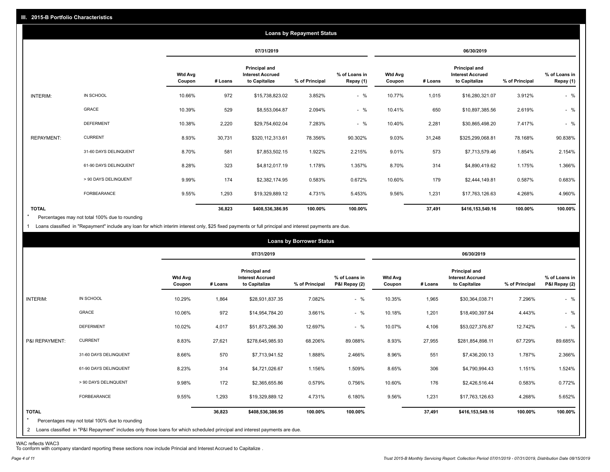|                   |                       |                          | <b>Loans by Repayment Status</b> |                                                                  |                |                            |                          |         |                                                           |                |                            |
|-------------------|-----------------------|--------------------------|----------------------------------|------------------------------------------------------------------|----------------|----------------------------|--------------------------|---------|-----------------------------------------------------------|----------------|----------------------------|
|                   |                       |                          |                                  | 07/31/2019                                                       |                |                            | 06/30/2019               |         |                                                           |                |                            |
|                   |                       | <b>Wtd Avg</b><br>Coupon | # Loans                          | <b>Principal and</b><br><b>Interest Accrued</b><br>to Capitalize | % of Principal | % of Loans in<br>Repay (1) | <b>Wtd Avg</b><br>Coupon | # Loans | Principal and<br><b>Interest Accrued</b><br>to Capitalize | % of Principal | % of Loans in<br>Repay (1) |
| INTERIM:          | IN SCHOOL             | 10.66%                   | 972                              | \$15,738,823.02                                                  | 3.852%         | $-$ %                      | 10.77%                   | 1,015   | \$16,280,321.07                                           | 3.912%         | $-$ %                      |
|                   | GRACE                 | 10.39%                   | 529                              | \$8,553,064.87                                                   | 2.094%         | $-$ %                      | 10.41%                   | 650     | \$10,897,385.56                                           | 2.619%         | $-$ %                      |
|                   | <b>DEFERMENT</b>      | 10.38%                   | 2,220                            | \$29,754,602.04                                                  | 7.283%         | $-$ %                      | 10.40%                   | 2,281   | \$30,865,498.20                                           | 7.417%         | $-$ %                      |
| <b>REPAYMENT:</b> | <b>CURRENT</b>        | 8.93%                    | 30,731                           | \$320,112,313.61                                                 | 78.356%        | 90.302%                    | 9.03%                    | 31,248  | \$325,299,068.81                                          | 78.168%        | 90.838%                    |
|                   | 31-60 DAYS DELINQUENT | 8.70%                    | 581                              | \$7,853,502.15                                                   | 1.922%         | 2.215%                     | 9.01%                    | 573     | \$7,713,579.46                                            | 1.854%         | 2.154%                     |
|                   | 61-90 DAYS DELINQUENT | 8.28%                    | 323                              | \$4,812,017.19                                                   | 1.178%         | 1.357%                     | 8.70%                    | 314     | \$4,890,419.62                                            | 1.175%         | 1.366%                     |
|                   | > 90 DAYS DELINQUENT  | 9.99%                    | 174                              | \$2,382,174.95                                                   | 0.583%         | 0.672%                     | 10.60%                   | 179     | \$2,444,149.81                                            | 0.587%         | 0.683%                     |
|                   | FORBEARANCE           | 9.55%                    | 1,293                            | \$19,329,889.12                                                  | 4.731%         | 5.453%                     | 9.56%                    | 1,231   | \$17,763,126.63                                           | 4.268%         | 4.960%                     |
| <b>TOTAL</b>      |                       |                          | 36,823                           | \$408,536,386.95                                                 | 100.00%        | 100.00%                    |                          | 37,491  | \$416,153,549.16                                          | 100.00%        | 100.00%                    |

Percentages may not total 100% due to rounding  $\star$ 

1 Loans classified in "Repayment" include any loan for which interim interest only, \$25 fixed payments or full principal and interest payments are due.

|                                |                                                                                                                                                                              |                          |         |                                                           | <b>Loans by Borrower Status</b> |                                |                          |         |                                                                  |                |                                |
|--------------------------------|------------------------------------------------------------------------------------------------------------------------------------------------------------------------------|--------------------------|---------|-----------------------------------------------------------|---------------------------------|--------------------------------|--------------------------|---------|------------------------------------------------------------------|----------------|--------------------------------|
|                                |                                                                                                                                                                              |                          |         | 07/31/2019                                                |                                 |                                | 06/30/2019               |         |                                                                  |                |                                |
|                                |                                                                                                                                                                              | <b>Wtd Avg</b><br>Coupon | # Loans | Principal and<br><b>Interest Accrued</b><br>to Capitalize | % of Principal                  | % of Loans in<br>P&I Repay (2) | <b>Wtd Avg</b><br>Coupon | # Loans | <b>Principal and</b><br><b>Interest Accrued</b><br>to Capitalize | % of Principal | % of Loans in<br>P&I Repay (2) |
| INTERIM:                       | IN SCHOOL                                                                                                                                                                    | 10.29%                   | 1,864   | \$28,931,837.35                                           | 7.082%                          | $-$ %                          | 10.35%                   | 1,965   | \$30,364,038.71                                                  | 7.296%         | $-$ %                          |
|                                | <b>GRACE</b>                                                                                                                                                                 | 10.06%                   | 972     | \$14,954,784.20                                           | 3.661%                          | $-$ %                          | 10.18%                   | 1,201   | \$18,490,397.84                                                  | 4.443%         | $-$ %                          |
|                                | <b>DEFERMENT</b>                                                                                                                                                             | 10.02%                   | 4,017   | \$51,873,266.30                                           | 12.697%                         | $-$ %                          | 10.07%                   | 4,106   | \$53,027,376.87                                                  | 12.742%        | $-$ %                          |
| P&I REPAYMENT:                 | <b>CURRENT</b>                                                                                                                                                               | 8.83%                    | 27,621  | \$278,645,985.93                                          | 68.206%                         | 89.088%                        | 8.93%                    | 27,955  | \$281,854,898.11                                                 | 67.729%        | 89.685%                        |
|                                | 31-60 DAYS DELINQUENT                                                                                                                                                        | 8.66%                    | 570     | \$7,713,941.52                                            | 1.888%                          | 2.466%                         | 8.96%                    | 551     | \$7,436,200.13                                                   | 1.787%         | 2.366%                         |
|                                | 61-90 DAYS DELINQUENT                                                                                                                                                        | 8.23%                    | 314     | \$4,721,026.67                                            | 1.156%                          | 1.509%                         | 8.65%                    | 306     | \$4,790,994.43                                                   | 1.151%         | 1.524%                         |
|                                | > 90 DAYS DELINQUENT                                                                                                                                                         | 9.98%                    | 172     | \$2,365,655.86                                            | 0.579%                          | 0.756%                         | 10.60%                   | 176     | \$2,426,516.44                                                   | 0.583%         | 0.772%                         |
|                                | FORBEARANCE                                                                                                                                                                  | 9.55%                    | 1,293   | \$19,329,889.12                                           | 4.731%                          | 6.180%                         | 9.56%                    | 1,231   | \$17,763,126.63                                                  | 4.268%         | 5.652%                         |
| <b>TOTAL</b><br>$\overline{2}$ | Percentages may not total 100% due to rounding<br>Loans classified in "P&I Repayment" includes only those loans for which scheduled principal and interest payments are due. |                          | 36,823  | \$408,536,386.95                                          | 100.00%                         | 100.00%                        |                          | 37,491  | \$416,153,549.16                                                 | 100.00%        | 100.00%                        |

WAC reflects WAC3 To conform with company standard reporting these sections now include Princial and Interest Accrued to Capitalize .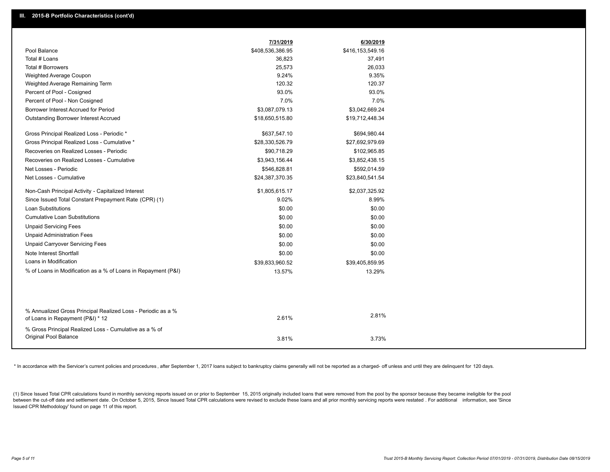|                                                                                                  | 7/31/2019        | 6/30/2019        |
|--------------------------------------------------------------------------------------------------|------------------|------------------|
| Pool Balance                                                                                     | \$408,536,386.95 | \$416,153,549.16 |
| Total # Loans                                                                                    | 36,823           | 37,491           |
| Total # Borrowers                                                                                | 25,573           | 26,033           |
| Weighted Average Coupon                                                                          | 9.24%            | 9.35%            |
| Weighted Average Remaining Term                                                                  | 120.32           | 120.37           |
| Percent of Pool - Cosigned                                                                       | 93.0%            | 93.0%            |
| Percent of Pool - Non Cosigned                                                                   | 7.0%             | 7.0%             |
| Borrower Interest Accrued for Period                                                             | \$3,087,079.13   | \$3,042,669.24   |
| Outstanding Borrower Interest Accrued                                                            | \$18,650,515.80  | \$19,712,448.34  |
| Gross Principal Realized Loss - Periodic *                                                       | \$637,547.10     | \$694,980.44     |
| Gross Principal Realized Loss - Cumulative *                                                     | \$28,330,526.79  | \$27,692,979.69  |
| Recoveries on Realized Losses - Periodic                                                         | \$90,718.29      | \$102,965.85     |
| Recoveries on Realized Losses - Cumulative                                                       | \$3,943,156.44   | \$3,852,438.15   |
| Net Losses - Periodic                                                                            | \$546,828.81     | \$592,014.59     |
| Net Losses - Cumulative                                                                          | \$24,387,370.35  | \$23,840,541.54  |
| Non-Cash Principal Activity - Capitalized Interest                                               | \$1,805,615.17   | \$2,037,325.92   |
| Since Issued Total Constant Prepayment Rate (CPR) (1)                                            | 9.02%            | 8.99%            |
| <b>Loan Substitutions</b>                                                                        | \$0.00           | \$0.00           |
| <b>Cumulative Loan Substitutions</b>                                                             | \$0.00           | \$0.00           |
| <b>Unpaid Servicing Fees</b>                                                                     | \$0.00           | \$0.00           |
| <b>Unpaid Administration Fees</b>                                                                | \$0.00           | \$0.00           |
| <b>Unpaid Carryover Servicing Fees</b>                                                           | \$0.00           | \$0.00           |
| Note Interest Shortfall                                                                          | \$0.00           | \$0.00           |
| Loans in Modification                                                                            | \$39,833,960.52  | \$39,405,859.95  |
| % of Loans in Modification as a % of Loans in Repayment (P&I)                                    | 13.57%           | 13.29%           |
|                                                                                                  |                  |                  |
|                                                                                                  |                  |                  |
| % Annualized Gross Principal Realized Loss - Periodic as a %<br>of Loans in Repayment (P&I) * 12 | 2.61%            | 2.81%            |
| % Gross Principal Realized Loss - Cumulative as a % of                                           |                  |                  |
| Original Pool Balance                                                                            | 3.81%            | 3.73%            |
|                                                                                                  |                  |                  |

\* In accordance with the Servicer's current policies and procedures, after September 1, 2017 loans subject to bankruptcy claims generally will not be reported as a charged- off unless and until they are delinquent for 120

(1) Since Issued Total CPR calculations found in monthly servicing reports issued on or prior to September 15, 2015 originally included loans that were removed from the pool by the sponsor because they became ineligible fo between the cut-off date and settlement date. On October 5, 2015, Since Issued Total CPR calculations were revised to exclude these loans and all prior monthly servicing reports were restated. For additional information, s Issued CPR Methodology' found on page 11 of this report.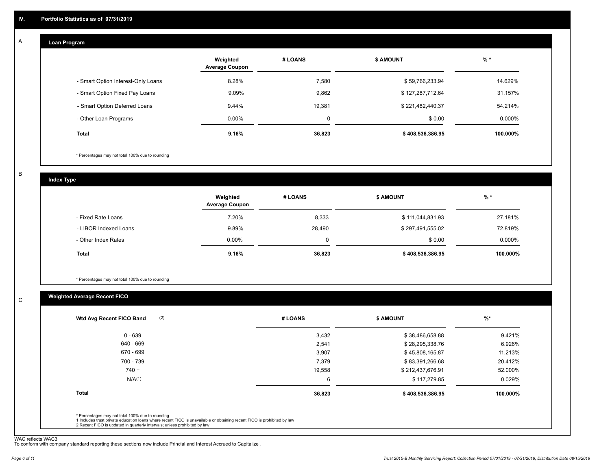#### **Loan Program**  A

|                                    | Weighted<br><b>Average Coupon</b> | # LOANS     | <b>S AMOUNT</b>  | $%$ *    |
|------------------------------------|-----------------------------------|-------------|------------------|----------|
| - Smart Option Interest-Only Loans | 8.28%                             | 7.580       | \$59,766,233.94  | 14.629%  |
| - Smart Option Fixed Pay Loans     | 9.09%                             | 9,862       | \$127,287,712.64 | 31.157%  |
| - Smart Option Deferred Loans      | 9.44%                             | 19.381      | \$221,482,440.37 | 54.214%  |
| - Other Loan Programs              | $0.00\%$                          | $\mathbf 0$ | \$0.00           | 0.000%   |
| <b>Total</b>                       | 9.16%                             | 36,823      | \$408,536,386.95 | 100.000% |

\* Percentages may not total 100% due to rounding

B

C

**Index Type**

|                       | Weighted<br><b>Average Coupon</b> | # LOANS | <b>\$ AMOUNT</b> | $%$ *    |
|-----------------------|-----------------------------------|---------|------------------|----------|
| - Fixed Rate Loans    | 7.20%                             | 8,333   | \$111,044,831.93 | 27.181%  |
| - LIBOR Indexed Loans | 9.89%                             | 28,490  | \$297,491,555.02 | 72.819%  |
| - Other Index Rates   | $0.00\%$                          | 0       | \$0.00           | 0.000%   |
| Total                 | 9.16%                             | 36,823  | \$408,536,386.95 | 100.000% |

\* Percentages may not total 100% due to rounding

#### **Weighted Average Recent FICO**

| 3,432  | \$38,486,658.88  | 9.421%   |
|--------|------------------|----------|
|        |                  |          |
| 2,541  | \$28,295,338.76  | 6.926%   |
| 3,907  | \$45,808,165.87  | 11.213%  |
| 7,379  | \$83,391,266.68  | 20.412%  |
| 19,558 | \$212,437,676.91 | 52.000%  |
| 6      | \$117,279.85     | 0.029%   |
| 36,823 | \$408,536,386.95 | 100.000% |
|        |                  |          |

WAC reflects WAC3 To conform with company standard reporting these sections now include Princial and Interest Accrued to Capitalize .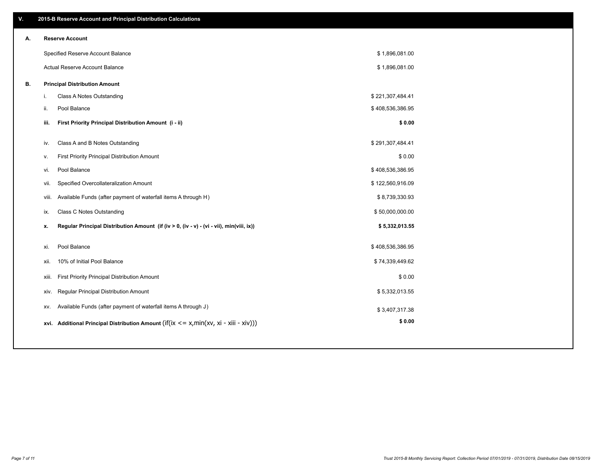| V. |       | 2015-B Reserve Account and Principal Distribution Calculations                             |                  |  |
|----|-------|--------------------------------------------------------------------------------------------|------------------|--|
| А. |       | <b>Reserve Account</b>                                                                     |                  |  |
|    |       | Specified Reserve Account Balance                                                          | \$1,896,081.00   |  |
|    |       | Actual Reserve Account Balance                                                             | \$1,896,081.00   |  |
| В. |       | <b>Principal Distribution Amount</b>                                                       |                  |  |
|    | i.    | Class A Notes Outstanding                                                                  | \$221,307,484.41 |  |
|    | ii.   | Pool Balance                                                                               | \$408,536,386.95 |  |
|    | iii.  | First Priority Principal Distribution Amount (i - ii)                                      | \$0.00           |  |
|    | iv.   | Class A and B Notes Outstanding                                                            | \$291,307,484.41 |  |
|    | v.    | First Priority Principal Distribution Amount                                               | \$0.00           |  |
|    | vi.   | Pool Balance                                                                               | \$408,536,386.95 |  |
|    | vii.  | Specified Overcollateralization Amount                                                     | \$122,560,916.09 |  |
|    | viii. | Available Funds (after payment of waterfall items A through H)                             | \$8,739,330.93   |  |
|    | ix.   | <b>Class C Notes Outstanding</b>                                                           | \$50,000,000.00  |  |
|    | х.    | Regular Principal Distribution Amount (if (iv > 0, (iv - v) - (vi - vii), min(viii, ix))   | \$5,332,013.55   |  |
|    |       |                                                                                            |                  |  |
|    | xi.   | Pool Balance                                                                               | \$408,536,386.95 |  |
|    | xii.  | 10% of Initial Pool Balance                                                                | \$74,339,449.62  |  |
|    | xiii. | First Priority Principal Distribution Amount                                               | \$0.00           |  |
|    | XIV.  | Regular Principal Distribution Amount                                                      | \$5,332,013.55   |  |
|    | XV.   | Available Funds (after payment of waterfall items A through J)                             | \$3,407,317.38   |  |
|    |       | xvi. Additional Principal Distribution Amount (if(ix $\lt$ = x, min(xv, xi - xiii - xiv))) | \$0.00           |  |
|    |       |                                                                                            |                  |  |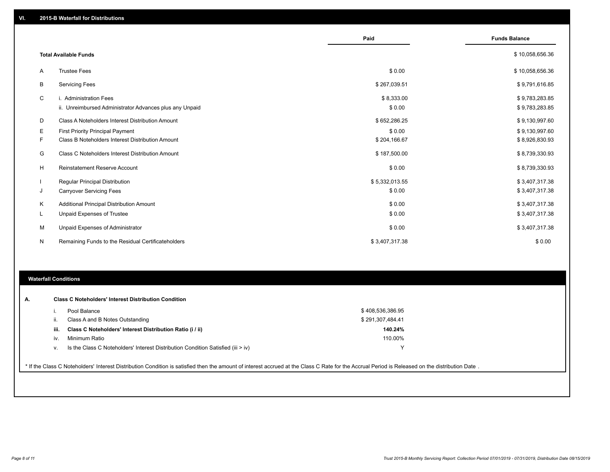|    |                                                         | Paid           | <b>Funds Balance</b> |
|----|---------------------------------------------------------|----------------|----------------------|
|    | <b>Total Available Funds</b>                            |                | \$10,058,656.36      |
| A  | <b>Trustee Fees</b>                                     | \$0.00         | \$10,058,656.36      |
| В  | <b>Servicing Fees</b>                                   | \$267,039.51   | \$9,791,616.85       |
| С  | i. Administration Fees                                  | \$8,333.00     | \$9,783,283.85       |
|    | ii. Unreimbursed Administrator Advances plus any Unpaid | \$0.00         | \$9,783,283.85       |
| D  | Class A Noteholders Interest Distribution Amount        | \$652,286.25   | \$9,130,997.60       |
| Е  | <b>First Priority Principal Payment</b>                 | \$0.00         | \$9,130,997.60       |
| F. | Class B Noteholders Interest Distribution Amount        | \$204,166.67   | \$8,926,830.93       |
| G  | Class C Noteholders Interest Distribution Amount        | \$187,500.00   | \$8,739,330.93       |
| H  | <b>Reinstatement Reserve Account</b>                    | \$0.00         | \$8,739,330.93       |
|    | Regular Principal Distribution                          | \$5,332,013.55 | \$3,407,317.38       |
| J  | <b>Carryover Servicing Fees</b>                         | \$0.00         | \$3,407,317.38       |
| Κ  | Additional Principal Distribution Amount                | \$0.00         | \$3,407,317.38       |
| L  | Unpaid Expenses of Trustee                              | \$0.00         | \$3,407,317.38       |
| М  | Unpaid Expenses of Administrator                        | \$0.00         | \$3,407,317.38       |
| N  | Remaining Funds to the Residual Certificateholders      | \$3,407,317.38 | \$0.00               |

## **Waterfall Conditions**

| А. |      | <b>Class C Noteholders' Interest Distribution Condition</b>                                                                                                                                      |                  |  |
|----|------|--------------------------------------------------------------------------------------------------------------------------------------------------------------------------------------------------|------------------|--|
|    |      | Pool Balance                                                                                                                                                                                     | \$408,536,386.95 |  |
|    | ii.  | Class A and B Notes Outstanding                                                                                                                                                                  | \$291,307,484.41 |  |
|    | iii. | Class C Noteholders' Interest Distribution Ratio (i / ii)                                                                                                                                        | 140.24%          |  |
|    | İV.  | Minimum Ratio                                                                                                                                                                                    | 110.00%          |  |
|    | v.   | Is the Class C Noteholders' Interest Distribution Condition Satisfied (iii > iv)                                                                                                                 | ν                |  |
|    |      | * If the Class C Noteholders' Interest Distribution Condition is satisfied then the amount of interest accrued at the Class C Rate for the Accrual Period is Released on the distribution Date . |                  |  |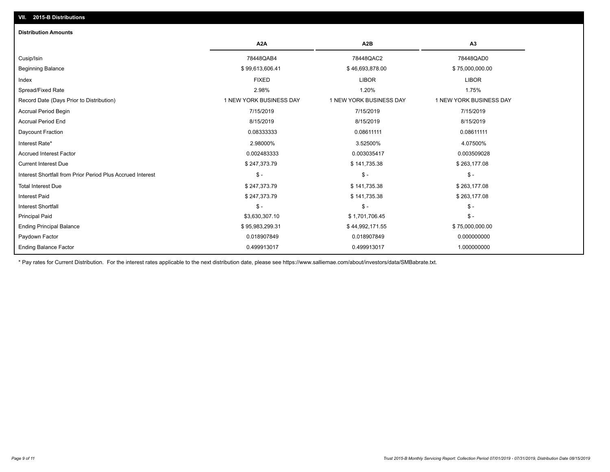## **VII. 2015-B Distributions**

| <b>Distribution Amounts</b>                                |                         |                         |                         |
|------------------------------------------------------------|-------------------------|-------------------------|-------------------------|
|                                                            | A <sub>2</sub> A        | A <sub>2</sub> B        | A <sub>3</sub>          |
| Cusip/Isin                                                 | 78448QAB4               | 78448QAC2               | 78448QAD0               |
| <b>Beginning Balance</b>                                   | \$99,613,606.41         | \$46,693,878.00         | \$75,000,000.00         |
| Index                                                      | <b>FIXED</b>            | <b>LIBOR</b>            | <b>LIBOR</b>            |
| Spread/Fixed Rate                                          | 2.98%                   | 1.20%                   | 1.75%                   |
| Record Date (Days Prior to Distribution)                   | 1 NEW YORK BUSINESS DAY | 1 NEW YORK BUSINESS DAY | 1 NEW YORK BUSINESS DAY |
| <b>Accrual Period Begin</b>                                | 7/15/2019               | 7/15/2019               | 7/15/2019               |
| <b>Accrual Period End</b>                                  | 8/15/2019               | 8/15/2019               | 8/15/2019               |
| Daycount Fraction                                          | 0.08333333              | 0.08611111              | 0.08611111              |
| Interest Rate*                                             | 2.98000%                | 3.52500%                | 4.07500%                |
| <b>Accrued Interest Factor</b>                             | 0.002483333             | 0.003035417             | 0.003509028             |
| <b>Current Interest Due</b>                                | \$247,373.79            | \$141,735.38            | \$263,177.08            |
| Interest Shortfall from Prior Period Plus Accrued Interest | $\mathsf{\$}$ -         | $\mathsf{\$}$ -         | $\mathsf{\$}$ -         |
| <b>Total Interest Due</b>                                  | \$247,373.79            | \$141,735.38            | \$263,177.08            |
| <b>Interest Paid</b>                                       | \$247,373.79            | \$141,735.38            | \$263,177.08            |
| <b>Interest Shortfall</b>                                  | $\frac{1}{2}$           | $\frac{1}{2}$           | $\mathcal{S}$ -         |
| <b>Principal Paid</b>                                      | \$3,630,307.10          | \$1,701,706.45          | $\mathcal{S}$ -         |
| <b>Ending Principal Balance</b>                            | \$95,983,299.31         | \$44,992,171.55         | \$75,000,000.00         |
| Paydown Factor                                             | 0.018907849             | 0.018907849             | 0.000000000             |
| <b>Ending Balance Factor</b>                               | 0.499913017             | 0.499913017             | 1.000000000             |

\* Pay rates for Current Distribution. For the interest rates applicable to the next distribution date, please see https://www.salliemae.com/about/investors/data/SMBabrate.txt.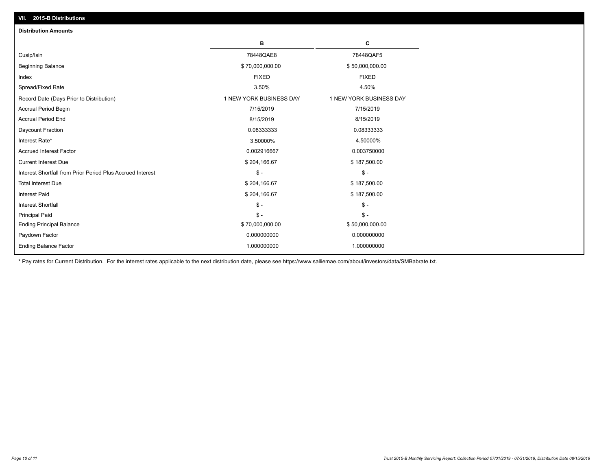| VII. 2015-B Distributions                                  |                         |                         |
|------------------------------------------------------------|-------------------------|-------------------------|
| <b>Distribution Amounts</b>                                |                         |                         |
|                                                            | в                       | C                       |
| Cusip/Isin                                                 | 78448QAE8               | 78448QAF5               |
| <b>Beginning Balance</b>                                   | \$70,000,000.00         | \$50,000,000.00         |
| Index                                                      | <b>FIXED</b>            | <b>FIXED</b>            |
| Spread/Fixed Rate                                          | 3.50%                   | 4.50%                   |
| Record Date (Days Prior to Distribution)                   | 1 NEW YORK BUSINESS DAY | 1 NEW YORK BUSINESS DAY |
| <b>Accrual Period Begin</b>                                | 7/15/2019               | 7/15/2019               |
| <b>Accrual Period End</b>                                  | 8/15/2019               | 8/15/2019               |
| Daycount Fraction                                          | 0.08333333              | 0.08333333              |
| Interest Rate*                                             | 3.50000%                | 4.50000%                |
| <b>Accrued Interest Factor</b>                             | 0.002916667             | 0.003750000             |
| <b>Current Interest Due</b>                                | \$204,166.67            | \$187,500.00            |
| Interest Shortfall from Prior Period Plus Accrued Interest | $\mathsf{\$}$ -         | $\frac{1}{2}$           |
| <b>Total Interest Due</b>                                  | \$204,166.67            | \$187,500.00            |
| Interest Paid                                              | \$204,166.67            | \$187,500.00            |
| Interest Shortfall                                         | $\mathcal{S}$ -         | $\frac{1}{2}$           |
| <b>Principal Paid</b>                                      | $$ -$                   | $\mathsf{\$}$ -         |
| <b>Ending Principal Balance</b>                            | \$70,000,000.00         | \$50,000,000.00         |
| Paydown Factor                                             | 0.000000000             | 0.000000000             |
| <b>Ending Balance Factor</b>                               | 1.000000000             | 1.000000000             |
|                                                            |                         |                         |

\* Pay rates for Current Distribution. For the interest rates applicable to the next distribution date, please see https://www.salliemae.com/about/investors/data/SMBabrate.txt.